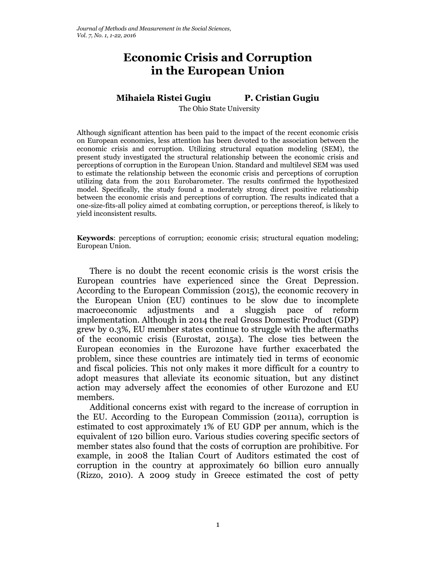# **Economic Crisis and Corruption in the European Union**

## **Mihaiela Ristei Gugiu P. Cristian Gugiu**

The Ohio State University

Although significant attention has been paid to the impact of the recent economic crisis on European economies, less attention has been devoted to the association between the economic crisis and corruption. Utilizing structural equation modeling (SEM), the present study investigated the structural relationship between the economic crisis and perceptions of corruption in the European Union. Standard and multilevel SEM was used to estimate the relationship between the economic crisis and perceptions of corruption utilizing data from the 2011 Eurobarometer. The results confirmed the hypothesized model. Specifically, the study found a moderately strong direct positive relationship between the economic crisis and perceptions of corruption. The results indicated that a one-size-fits-all policy aimed at combating corruption, or perceptions thereof, is likely to yield inconsistent results.

**Keywords**: perceptions of corruption; economic crisis; structural equation modeling; European Union.

There is no doubt the recent economic crisis is the worst crisis the European countries have experienced since the Great Depression. According to the European Commission (2015), the economic recovery in the European Union (EU) continues to be slow due to incomplete macroeconomic adjustments and a sluggish pace of reform implementation. Although in 2014 the real Gross Domestic Product (GDP) grew by 0.3%, EU member states continue to struggle with the aftermaths of the economic crisis (Eurostat, 2015a). The close ties between the European economies in the Eurozone have further exacerbated the problem, since these countries are intimately tied in terms of economic and fiscal policies. This not only makes it more difficult for a country to adopt measures that alleviate its economic situation, but any distinct action may adversely affect the economies of other Eurozone and EU members.

Additional concerns exist with regard to the increase of corruption in the EU. According to the European Commission (2011a), corruption is estimated to cost approximately 1% of EU GDP per annum, which is the equivalent of 120 billion euro. Various studies covering specific sectors of member states also found that the costs of corruption are prohibitive. For example, in 2008 the Italian Court of Auditors estimated the cost of corruption in the country at approximately 60 billion euro annually (Rizzo, 2010). A 2009 study in Greece estimated the cost of petty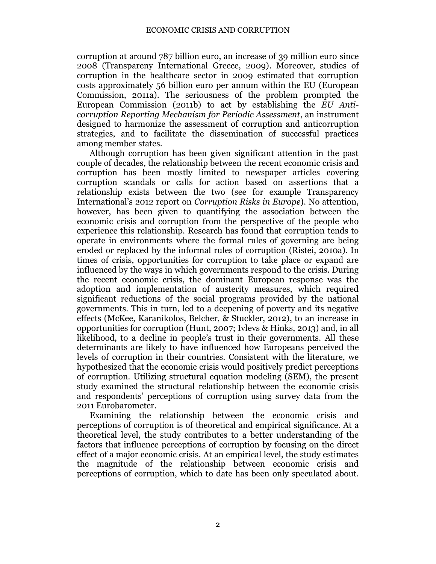corruption at around 787 billion euro, an increase of 39 million euro since 2008 (Transpareny International Greece, 2009). Moreover, studies of corruption in the healthcare sector in 2009 estimated that corruption costs approximately 56 billion euro per annum within the EU (European Commission, 2011a). The seriousness of the problem prompted the European Commission (2011b) to act by establishing the *EU Anticorruption Reporting Mechanism for Periodic Assessment*, an instrument designed to harmonize the assessment of corruption and anticorruption strategies, and to facilitate the dissemination of successful practices among member states.

Although corruption has been given significant attention in the past couple of decades, the relationship between the recent economic crisis and corruption has been mostly limited to newspaper articles covering corruption scandals or calls for action based on assertions that a relationship exists between the two (see for example Transparency International's 2012 report on *Corruption Risks in Europe*). No attention, however, has been given to quantifying the association between the economic crisis and corruption from the perspective of the people who experience this relationship. Research has found that corruption tends to operate in environments where the formal rules of governing are being eroded or replaced by the informal rules of corruption (Ristei, 2010a). In times of crisis, opportunities for corruption to take place or expand are influenced by the ways in which governments respond to the crisis. During the recent economic crisis, the dominant European response was the adoption and implementation of austerity measures, which required significant reductions of the social programs provided by the national governments. This in turn, led to a deepening of poverty and its negative effects (McKee, Karanikolos, Belcher, & Stuckler, 2012), to an increase in opportunities for corruption (Hunt, 2007; Ivlevs & Hinks, 2013) and, in all likelihood, to a decline in people's trust in their governments. All these determinants are likely to have influenced how Europeans perceived the levels of corruption in their countries. Consistent with the literature, we hypothesized that the economic crisis would positively predict perceptions of corruption. Utilizing structural equation modeling (SEM), the present study examined the structural relationship between the economic crisis and respondents' perceptions of corruption using survey data from the 2011 Eurobarometer.

Examining the relationship between the economic crisis and perceptions of corruption is of theoretical and empirical significance. At a theoretical level, the study contributes to a better understanding of the factors that influence perceptions of corruption by focusing on the direct effect of a major economic crisis. At an empirical level, the study estimates the magnitude of the relationship between economic crisis and perceptions of corruption, which to date has been only speculated about.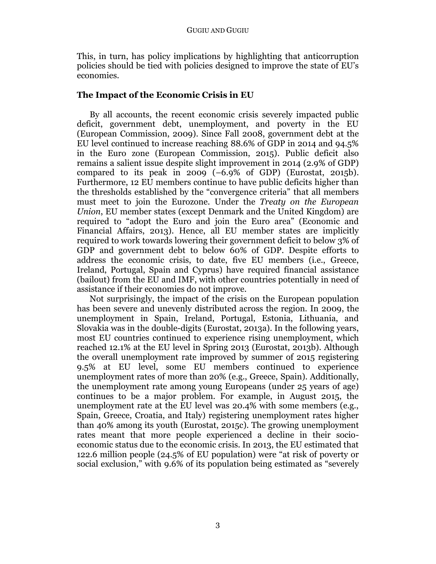This, in turn, has policy implications by highlighting that anticorruption policies should be tied with policies designed to improve the state of EU's economies.

## **The Impact of the Economic Crisis in EU**

By all accounts, the recent economic crisis severely impacted public deficit, government debt, unemployment, and poverty in the EU (European Commission, 2009). Since Fall 2008, government debt at the EU level continued to increase reaching 88.6% of GDP in 2014 and 94.5% in the Euro zone (European Commission, 2015). Public deficit also remains a salient issue despite slight improvement in 2014 (2.9% of GDP) compared to its peak in 2009  $(-6.9\% \text{ of GDP})$  (Eurostat, 2015b). Furthermore, 12 EU members continue to have public deficits higher than the thresholds established by the "convergence criteria" that all members must meet to join the Eurozone. Under the *Treaty on the European Union*, EU member states (except Denmark and the United Kingdom) are required to "adopt the Euro and join the Euro area" (Economic and Financial Affairs, 2013). Hence, all EU member states are implicitly required to work towards lowering their government deficit to below 3% of GDP and government debt to below 60% of GDP. Despite efforts to address the economic crisis, to date, five EU members (i.e., Greece, Ireland, Portugal, Spain and Cyprus) have required financial assistance (bailout) from the EU and IMF, with other countries potentially in need of assistance if their economies do not improve.

Not surprisingly, the impact of the crisis on the European population has been severe and unevenly distributed across the region. In 2009, the unemployment in Spain, Ireland, Portugal, Estonia, Lithuania, and Slovakia was in the double-digits (Eurostat, 2013a). In the following years, most EU countries continued to experience rising unemployment, which reached 12.1% at the EU level in Spring 2013 (Eurostat, 2013b). Although the overall unemployment rate improved by summer of 2015 registering 9.5% at EU level, some EU members continued to experience unemployment rates of more than 20% (e.g., Greece, Spain). Additionally, the unemployment rate among young Europeans (under 25 years of age) continues to be a major problem. For example, in August 2015, the unemployment rate at the EU level was 20.4% with some members (e.g., Spain, Greece, Croatia, and Italy) registering unemployment rates higher than 40% among its youth (Eurostat, 2015c). The growing unemployment rates meant that more people experienced a decline in their socioeconomic status due to the economic crisis. In 2013, the EU estimated that 122.6 million people (24.5% of EU population) were "at risk of poverty or social exclusion," with 9.6% of its population being estimated as "severely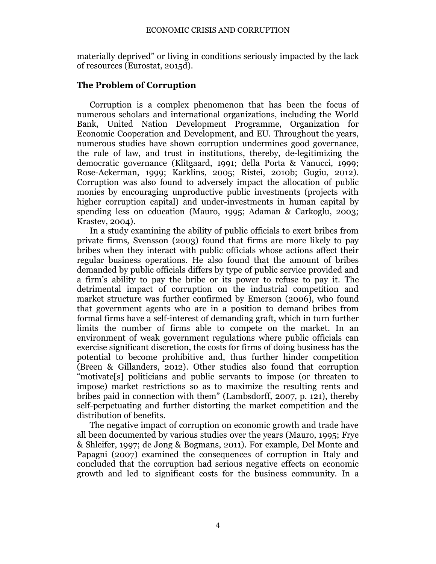materially deprived" or living in conditions seriously impacted by the lack of resources (Eurostat, 2015d).

## **The Problem of Corruption**

Corruption is a complex phenomenon that has been the focus of numerous scholars and international organizations, including the World Bank, United Nation Development Programme, Organization for Economic Cooperation and Development, and EU. Throughout the years, numerous studies have shown corruption undermines good governance, the rule of law, and trust in institutions, thereby, de-legitimizing the democratic governance (Klitgaard, 1991; della Porta & Vanucci, 1999; Rose-Ackerman, 1999; Karklins, 2005; Ristei, 2010b; Gugiu, 2012). Corruption was also found to adversely impact the allocation of public monies by encouraging unproductive public investments (projects with higher corruption capital) and under-investments in human capital by spending less on education (Mauro, 1995; Adaman & Carkoglu, 2003; Krastev, 2004).

In a study examining the ability of public officials to exert bribes from private firms, Svensson (2003) found that firms are more likely to pay bribes when they interact with public officials whose actions affect their regular business operations. He also found that the amount of bribes demanded by public officials differs by type of public service provided and a firm's ability to pay the bribe or its power to refuse to pay it. The detrimental impact of corruption on the industrial competition and market structure was further confirmed by Emerson (2006), who found that government agents who are in a position to demand bribes from formal firms have a self-interest of demanding graft, which in turn further limits the number of firms able to compete on the market. In an environment of weak government regulations where public officials can exercise significant discretion, the costs for firms of doing business has the potential to become prohibitive and, thus further hinder competition (Breen & Gillanders, 2012). Other studies also found that corruption "motivate[s] politicians and public servants to impose (or threaten to impose) market restrictions so as to maximize the resulting rents and bribes paid in connection with them" (Lambsdorff, 2007, p. 121), thereby self-perpetuating and further distorting the market competition and the distribution of benefits.

The negative impact of corruption on economic growth and trade have all been documented by various studies over the years (Mauro, 1995; Frye & Shleifer, 1997; de Jong & Bogmans, 2011). For example, Del Monte and Papagni (2007) examined the consequences of corruption in Italy and concluded that the corruption had serious negative effects on economic growth and led to significant costs for the business community. In a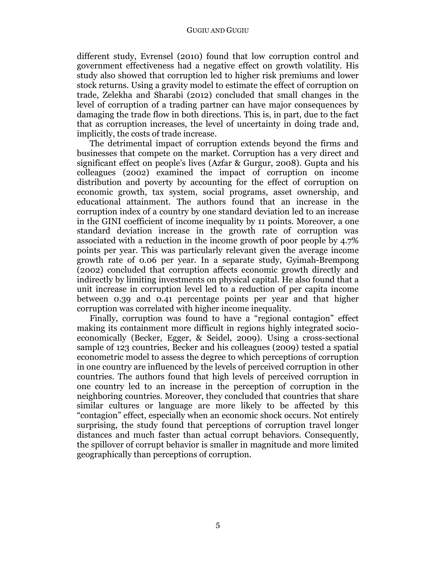#### GUGIU AND GUGIU

different study, Evrensel (2010) found that low corruption control and government effectiveness had a negative effect on growth volatility. His study also showed that corruption led to higher risk premiums and lower stock returns. Using a gravity model to estimate the effect of corruption on trade, Zelekha and Sharabi (2012) concluded that small changes in the level of corruption of a trading partner can have major consequences by damaging the trade flow in both directions. This is, in part, due to the fact that as corruption increases, the level of uncertainty in doing trade and, implicitly, the costs of trade increase.

The detrimental impact of corruption extends beyond the firms and businesses that compete on the market. Corruption has a very direct and significant effect on people's lives (Azfar & Gurgur, 2008). Gupta and his colleagues (2002) examined the impact of corruption on income distribution and poverty by accounting for the effect of corruption on economic growth, tax system, social programs, asset ownership, and educational attainment. The authors found that an increase in the corruption index of a country by one standard deviation led to an increase in the GINI coefficient of income inequality by 11 points. Moreover, a one standard deviation increase in the growth rate of corruption was associated with a reduction in the income growth of poor people by 4.7% points per year. This was particularly relevant given the average income growth rate of 0.06 per year. In a separate study, Gyimah-Brempong (2002) concluded that corruption affects economic growth directly and indirectly by limiting investments on physical capital. He also found that a unit increase in corruption level led to a reduction of per capita income between 0.39 and 0.41 percentage points per year and that higher corruption was correlated with higher income inequality.

Finally, corruption was found to have a "regional contagion" effect making its containment more difficult in regions highly integrated socioeconomically (Becker, Egger, & Seidel, 2009). Using a cross-sectional sample of 123 countries, Becker and his colleagues (2009) tested a spatial econometric model to assess the degree to which perceptions of corruption in one country are influenced by the levels of perceived corruption in other countries. The authors found that high levels of perceived corruption in one country led to an increase in the perception of corruption in the neighboring countries. Moreover, they concluded that countries that share similar cultures or language are more likely to be affected by this "contagion" effect, especially when an economic shock occurs. Not entirely surprising, the study found that perceptions of corruption travel longer distances and much faster than actual corrupt behaviors. Consequently, the spillover of corrupt behavior is smaller in magnitude and more limited geographically than perceptions of corruption.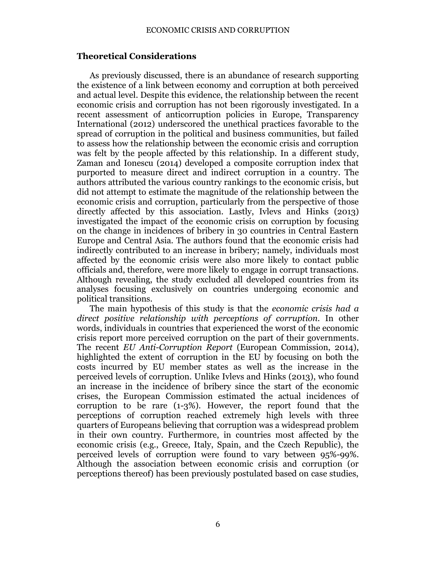## **Theoretical Considerations**

As previously discussed, there is an abundance of research supporting the existence of a link between economy and corruption at both perceived and actual level. Despite this evidence, the relationship between the recent economic crisis and corruption has not been rigorously investigated. In a recent assessment of anticorruption policies in Europe, Transparency International (2012) underscored the unethical practices favorable to the spread of corruption in the political and business communities, but failed to assess how the relationship between the economic crisis and corruption was felt by the people affected by this relationship. In a different study, Zaman and Ionescu (2014) developed a composite corruption index that purported to measure direct and indirect corruption in a country. The authors attributed the various country rankings to the economic crisis, but did not attempt to estimate the magnitude of the relationship between the economic crisis and corruption, particularly from the perspective of those directly affected by this association. Lastly, Ivlevs and Hinks (2013) investigated the impact of the economic crisis on corruption by focusing on the change in incidences of bribery in 30 countries in Central Eastern Europe and Central Asia. The authors found that the economic crisis had indirectly contributed to an increase in bribery; namely, individuals most affected by the economic crisis were also more likely to contact public officials and, therefore, were more likely to engage in corrupt transactions. Although revealing, the study excluded all developed countries from its analyses focusing exclusively on countries undergoing economic and political transitions.

The main hypothesis of this study is that the *economic crisis had a direct positive relationship with perceptions of corruption.* In other words, individuals in countries that experienced the worst of the economic crisis report more perceived corruption on the part of their governments. The recent *EU Anti-Corruption Report* (European Commission, 2014), highlighted the extent of corruption in the EU by focusing on both the costs incurred by EU member states as well as the increase in the perceived levels of corruption. Unlike Ivlevs and Hinks (2013), who found an increase in the incidence of bribery since the start of the economic crises, the European Commission estimated the actual incidences of corruption to be rare (1-3%). However, the report found that the perceptions of corruption reached extremely high levels with three quarters of Europeans believing that corruption was a widespread problem in their own country. Furthermore, in countries most affected by the economic crisis (e.g., Greece, Italy, Spain, and the Czech Republic), the perceived levels of corruption were found to vary between 95%-99%. Although the association between economic crisis and corruption (or perceptions thereof) has been previously postulated based on case studies,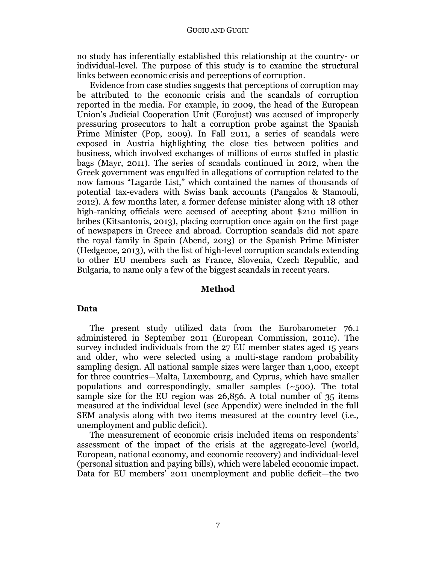no study has inferentially established this relationship at the country- or individual-level. The purpose of this study is to examine the structural links between economic crisis and perceptions of corruption.

Evidence from case studies suggests that perceptions of corruption may be attributed to the economic crisis and the scandals of corruption reported in the media. For example, in 2009, the head of the European Union's Judicial Cooperation Unit (Eurojust) was accused of improperly pressuring prosecutors to halt a corruption probe against the Spanish Prime Minister (Pop, 2009). In Fall 2011, a series of scandals were exposed in Austria highlighting the close ties between politics and business, which involved exchanges of millions of euros stuffed in plastic bags (Mayr, 2011). The series of scandals continued in 2012, when the Greek government was engulfed in allegations of corruption related to the now famous "Lagarde List," which contained the names of thousands of potential tax-evaders with Swiss bank accounts (Pangalos & Stamouli, 2012). A few months later, a former defense minister along with 18 other high-ranking officials were accused of accepting about \$210 million in bribes (Kitsantonis, 2013), placing corruption once again on the first page of newspapers in Greece and abroad. Corruption scandals did not spare the royal family in Spain (Abend, 2013) or the Spanish Prime Minister (Hedgecoe, 2013), with the list of high-level corruption scandals extending to other EU members such as France, Slovenia, Czech Republic, and Bulgaria, to name only a few of the biggest scandals in recent years.

#### **Method**

#### **Data**

The present study utilized data from the Eurobarometer 76.1 administered in September 2011 (European Commission, 2011c). The survey included individuals from the 27 EU member states aged 15 years and older, who were selected using a multi-stage random probability sampling design. All national sample sizes were larger than 1,000, except for three countries—Malta, Luxembourg, and Cyprus, which have smaller populations and correspondingly, smaller samples  $(\sim,500)$ . The total sample size for the EU region was 26,856. A total number of 35 items measured at the individual level (see Appendix) were included in the full SEM analysis along with two items measured at the country level (i.e., unemployment and public deficit).

The measurement of economic crisis included items on respondents' assessment of the impact of the crisis at the aggregate-level (world, European, national economy, and economic recovery) and individual-level (personal situation and paying bills), which were labeled economic impact. Data for EU members' 2011 unemployment and public deficit—the two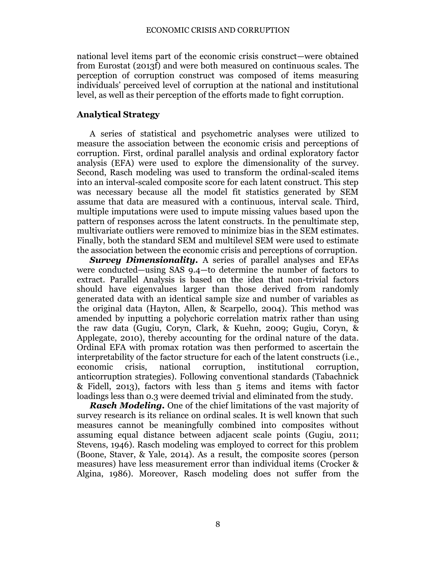national level items part of the economic crisis construct—were obtained from Eurostat (2013f) and were both measured on continuous scales. The perception of corruption construct was composed of items measuring individuals' perceived level of corruption at the national and institutional level, as well as their perception of the efforts made to fight corruption.

## **Analytical Strategy**

A series of statistical and psychometric analyses were utilized to measure the association between the economic crisis and perceptions of corruption. First, ordinal parallel analysis and ordinal exploratory factor analysis (EFA) were used to explore the dimensionality of the survey. Second, Rasch modeling was used to transform the ordinal-scaled items into an interval-scaled composite score for each latent construct. This step was necessary because all the model fit statistics generated by SEM assume that data are measured with a continuous, interval scale. Third, multiple imputations were used to impute missing values based upon the pattern of responses across the latent constructs. In the penultimate step, multivariate outliers were removed to minimize bias in the SEM estimates. Finally, both the standard SEM and multilevel SEM were used to estimate the association between the economic crisis and perceptions of corruption.

*Survey Dimensionality.* A series of parallel analyses and EFAs were conducted—using SAS 9.4—to determine the number of factors to extract. Parallel Analysis is based on the idea that non-trivial factors should have eigenvalues larger than those derived from randomly generated data with an identical sample size and number of variables as the original data (Hayton, Allen, & Scarpello, 2004). This method was amended by inputting a polychoric correlation matrix rather than using the raw data (Gugiu, Coryn, Clark, & Kuehn, 2009; Gugiu, Coryn, & Applegate, 2010), thereby accounting for the ordinal nature of the data. Ordinal EFA with promax rotation was then performed to ascertain the interpretability of the factor structure for each of the latent constructs (i.e., economic crisis, national corruption, institutional corruption, anticorruption strategies). Following conventional standards (Tabachnick & Fidell, 2013), factors with less than 5 items and items with factor loadings less than 0.3 were deemed trivial and eliminated from the study.

*Rasch Modeling.* One of the chief limitations of the vast majority of survey research is its reliance on ordinal scales. It is well known that such measures cannot be meaningfully combined into composites without assuming equal distance between adjacent scale points (Gugiu, 2011; Stevens, 1946). Rasch modeling was employed to correct for this problem (Boone, Staver, & Yale, 2014). As a result, the composite scores (person measures) have less measurement error than individual items (Crocker & Algina, 1986). Moreover, Rasch modeling does not suffer from the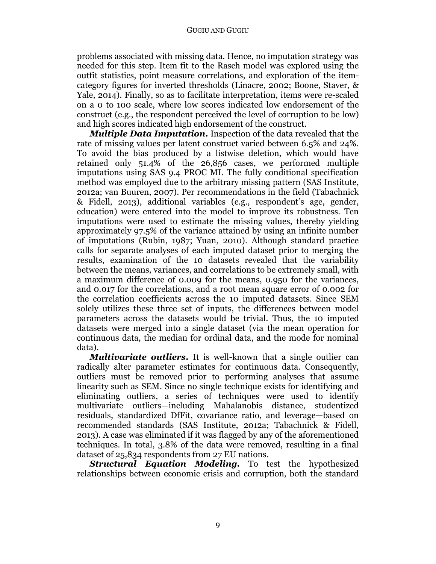#### GUGIU AND GUGIU

problems associated with missing data. Hence, no imputation strategy was needed for this step. Item fit to the Rasch model was explored using the outfit statistics, point measure correlations, and exploration of the itemcategory figures for inverted thresholds (Linacre, 2002; Boone, Staver, & Yale, 2014). Finally, so as to facilitate interpretation, items were re-scaled on a 0 to 100 scale, where low scores indicated low endorsement of the construct (e.g., the respondent perceived the level of corruption to be low) and high scores indicated high endorsement of the construct.

*Multiple Data Imputation.* Inspection of the data revealed that the rate of missing values per latent construct varied between 6.5% and 24%. To avoid the bias produced by a listwise deletion, which would have retained only 51.4% of the 26,856 cases, we performed multiple imputations using SAS 9.4 PROC MI. The fully conditional specification method was employed due to the arbitrary missing pattern (SAS Institute, 2012a; van Buuren, 2007). Per recommendations in the field (Tabachnick & Fidell, 2013), additional variables (e.g., respondent's age, gender, education) were entered into the model to improve its robustness. Ten imputations were used to estimate the missing values, thereby yielding approximately 97.5% of the variance attained by using an infinite number of imputations (Rubin, 1987; Yuan, 2010). Although standard practice calls for separate analyses of each imputed dataset prior to merging the results, examination of the 10 datasets revealed that the variability between the means, variances, and correlations to be extremely small, with a maximum difference of 0.009 for the means, 0.950 for the variances, and 0.017 for the correlations, and a root mean square error of 0.002 for the correlation coefficients across the 10 imputed datasets. Since SEM solely utilizes these three set of inputs, the differences between model parameters across the datasets would be trivial. Thus, the 10 imputed datasets were merged into a single dataset (via the mean operation for continuous data, the median for ordinal data, and the mode for nominal data).

*Multivariate outliers***.** It is well-known that a single outlier can radically alter parameter estimates for continuous data. Consequently, outliers must be removed prior to performing analyses that assume linearity such as SEM. Since no single technique exists for identifying and eliminating outliers, a series of techniques were used to identify multivariate outliers—including Mahalanobis distance, studentized residuals, standardized DfFit, covariance ratio, and leverage—based on recommended standards (SAS Institute, 2012a; Tabachnick & Fidell, 2013). A case was eliminated if it was flagged by any of the aforementioned techniques. In total, 3.8% of the data were removed, resulting in a final dataset of 25,834 respondents from 27 EU nations.

*Structural Equation Modeling.* To test the hypothesized relationships between economic crisis and corruption, both the standard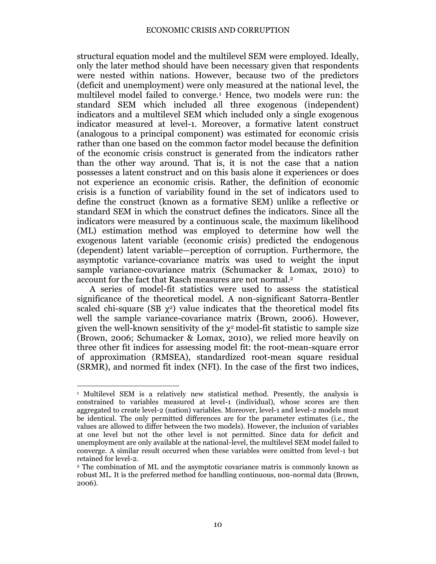structural equation model and the multilevel SEM were employed. Ideally, only the later method should have been necessary given that respondents were nested within nations. However, because two of the predictors (deficit and unemployment) were only measured at the national level, the multilevel model failed to converge.<sup>1</sup> Hence, two models were run: the standard SEM which included all three exogenous (independent) indicators and a multilevel SEM which included only a single exogenous indicator measured at level-1. Moreover, a formative latent construct (analogous to a principal component) was estimated for economic crisis rather than one based on the common factor model because the definition of the economic crisis construct is generated from the indicators rather than the other way around. That is, it is not the case that a nation possesses a latent construct and on this basis alone it experiences or does not experience an economic crisis. Rather, the definition of economic crisis is a function of variability found in the set of indicators used to define the construct (known as a formative SEM) unlike a reflective or standard SEM in which the construct defines the indicators. Since all the indicators were measured by a continuous scale, the maximum likelihood (ML) estimation method was employed to determine how well the exogenous latent variable (economic crisis) predicted the endogenous (dependent) latent variable—perception of corruption. Furthermore, the asymptotic variance-covariance matrix was used to weight the input sample variance-covariance matrix (Schumacker & Lomax, 2010) to account for the fact that Rasch measures are not normal. 2

A series of model-fit statistics were used to assess the statistical significance of the theoretical model. A non-significant Satorra-Bentler scaled chi-square (SB  $\chi^2$ ) value indicates that the theoretical model fits well the sample variance-covariance matrix (Brown, 2006). However, given the well-known sensitivity of the  $\chi^2$  model-fit statistic to sample size (Brown, 2006; Schumacker & Lomax, 2010), we relied more heavily on three other fit indices for assessing model fit: the root-mean-square error of approximation (RMSEA), standardized root-mean square residual (SRMR), and normed fit index (NFI). In the case of the first two indices,

 $\overline{a}$ <sup>1</sup> Multilevel SEM is a relatively new statistical method. Presently, the analysis is constrained to variables measured at level-1 (individual), whose scores are then aggregated to create level-2 (nation) variables. Moreover, level-1 and level-2 models must be identical. The only permitted differences are for the parameter estimates (i.e., the values are allowed to differ between the two models). However, the inclusion of variables at one level but not the other level is not permitted. Since data for deficit and unemployment are only available at the national-level, the multilevel SEM model failed to converge. A similar result occurred when these variables were omitted from level-1 but retained for level-2.

<sup>2</sup> The combination of ML and the asymptotic covariance matrix is commonly known as robust ML. It is the preferred method for handling continuous, non-normal data (Brown, 2006).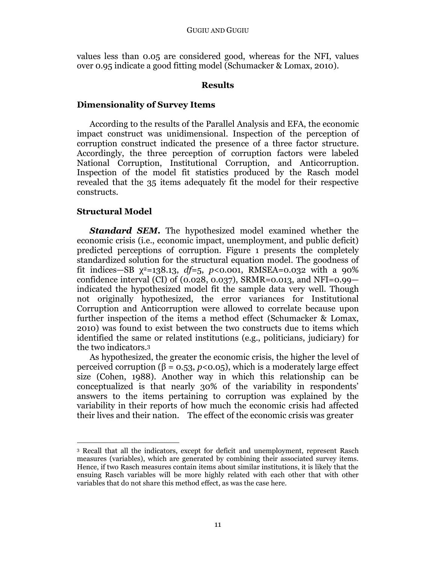values less than 0.05 are considered good, whereas for the NFI, values over 0.95 indicate a good fitting model (Schumacker & Lomax, 2010).

## **Results**

## **Dimensionality of Survey Items**

According to the results of the Parallel Analysis and EFA, the economic impact construct was unidimensional. Inspection of the perception of corruption construct indicated the presence of a three factor structure. Accordingly, the three perception of corruption factors were labeled National Corruption, Institutional Corruption, and Anticorruption. Inspection of the model fit statistics produced by the Rasch model revealed that the 35 items adequately fit the model for their respective constructs.

## **Structural Model**

*Standard SEM***.** The hypothesized model examined whether the economic crisis (i.e., economic impact, unemployment, and public deficit) predicted perceptions of corruption. Figure 1 presents the completely standardized solution for the structural equation model. The goodness of fit indices—SB  $\chi^2$ =138.13,  $df$ =5,  $p$ <0.001, RMSEA=0.032 with a 90% confidence interval (CI) of (0.028, 0.037), SRMR=0.013, and NFI=0.99 indicated the hypothesized model fit the sample data very well. Though not originally hypothesized, the error variances for Institutional Corruption and Anticorruption were allowed to correlate because upon further inspection of the items a method effect (Schumacker & Lomax, 2010) was found to exist between the two constructs due to items which identified the same or related institutions (e.g., politicians, judiciary) for the two indicators. 3

As hypothesized, the greater the economic crisis, the higher the level of perceived corruption ( $β = 0.53$ ,  $p < 0.05$ ), which is a moderately large effect size (Cohen, 1988). Another way in which this relationship can be conceptualized is that nearly 30% of the variability in respondents' answers to the items pertaining to corruption was explained by the variability in their reports of how much the economic crisis had affected their lives and their nation. The effect of the economic crisis was greater

 $\overline{a}$ <sup>3</sup> Recall that all the indicators, except for deficit and unemployment, represent Rasch measures (variables), which are generated by combining their associated survey items. Hence, if two Rasch measures contain items about similar institutions, it is likely that the ensuing Rasch variables will be more highly related with each other that with other variables that do not share this method effect, as was the case here.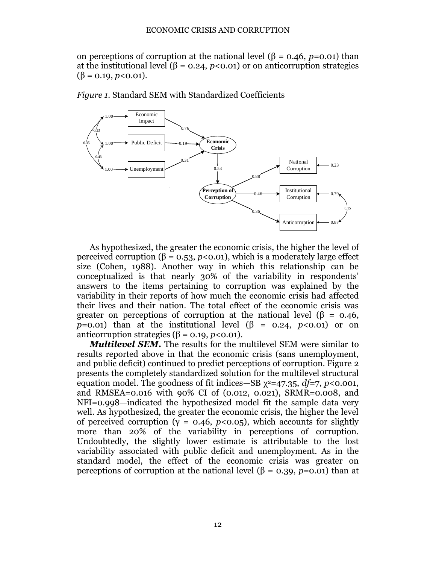on perceptions of corruption at the national level ( $\beta$  = 0.46, *p*=0.01) than at the institutional level ( $\beta$  = 0.24, *p*<0.01) or on anticorruption strategies  $(\beta = 0.19, p < 0.01).$ 



As hypothesized, the greater the economic crisis, the higher the level of perceived corruption ( $\beta = 0.53$ ,  $p < 0.01$ ), which is a moderately large effect size (Cohen, 1988). Another way in which this relationship can be conceptualized is that nearly 30% of the variability in respondents' answers to the items pertaining to corruption was explained by the variability in their reports of how much the economic crisis had affected their lives and their nation. The total effect of the economic crisis was greater on perceptions of corruption at the national level ( $\beta$  = 0.46, *p*=0.01) than at the institutional level  $(\beta = 0.24, p < 0.01)$  or on anticorruption strategies ( $β = 0.19, p < 0.01$ ).

*Multilevel SEM***.** The results for the multilevel SEM were similar to results reported above in that the economic crisis (sans unemployment, and public deficit) continued to predict perceptions of corruption. Figure 2 presents the completely standardized solution for the multilevel structural equation model. The goodness of fit indices—SB  $\chi^2$ =47.35, *df*=7, *p*<0.001, and RMSEA=0.016 with 90% CI of (0.012, 0.021), SRMR=0.008, and NFI=0.998—indicated the hypothesized model fit the sample data very well. As hypothesized, the greater the economic crisis, the higher the level of perceived corruption ( $y = 0.46$ ,  $p < 0.05$ ), which accounts for slightly more than 20% of the variability in perceptions of corruption. Undoubtedly, the slightly lower estimate is attributable to the lost variability associated with public deficit and unemployment. As in the standard model, the effect of the economic crisis was greater on perceptions of corruption at the national level (β = 0.39, *p*=0.01) than at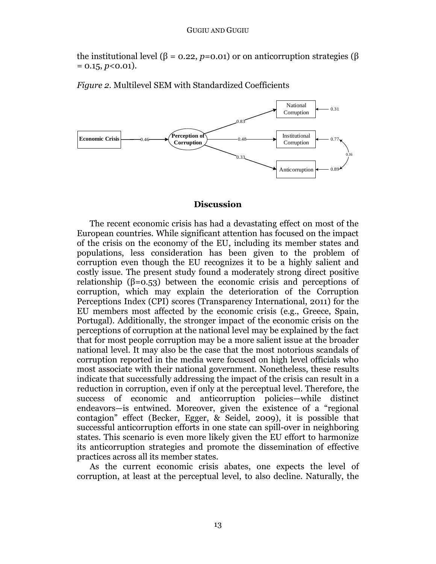the institutional level (β = 0.22, *p*=0.01) or on anticorruption strategies (β  $= 0.15, p < 0.01$ .

*Figure 2.* Multilevel SEM with Standardized Coefficients



### **Discussion**

The recent economic crisis has had a devastating effect on most of the European countries. While significant attention has focused on the impact of the crisis on the economy of the EU, including its member states and populations, less consideration has been given to the problem of corruption even though the EU recognizes it to be a highly salient and costly issue. The present study found a moderately strong direct positive relationship ( $\beta$ =0.53) between the economic crisis and perceptions of corruption, which may explain the deterioration of the Corruption Perceptions Index (CPI) scores (Transparency International, 2011) for the EU members most affected by the economic crisis (e.g., Greece, Spain, Portugal). Additionally, the stronger impact of the economic crisis on the perceptions of corruption at the national level may be explained by the fact that for most people corruption may be a more salient issue at the broader national level. It may also be the case that the most notorious scandals of corruption reported in the media were focused on high level officials who most associate with their national government. Nonetheless, these results indicate that successfully addressing the impact of the crisis can result in a reduction in corruption, even if only at the perceptual level. Therefore, the success of economic and anticorruption policies—while distinct endeavors—is entwined. Moreover, given the existence of a "regional contagion" effect (Becker, Egger, & Seidel, 2009), it is possible that successful anticorruption efforts in one state can spill-over in neighboring states. This scenario is even more likely given the EU effort to harmonize its anticorruption strategies and promote the dissemination of effective practices across all its member states.

As the current economic crisis abates, one expects the level of corruption, at least at the perceptual level, to also decline. Naturally, the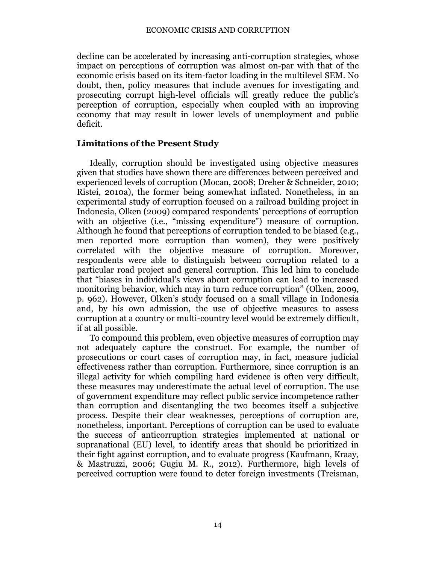decline can be accelerated by increasing anti-corruption strategies, whose impact on perceptions of corruption was almost on-par with that of the economic crisis based on its item-factor loading in the multilevel SEM. No doubt, then, policy measures that include avenues for investigating and prosecuting corrupt high-level officials will greatly reduce the public's perception of corruption, especially when coupled with an improving economy that may result in lower levels of unemployment and public deficit.

## **Limitations of the Present Study**

Ideally, corruption should be investigated using objective measures given that studies have shown there are differences between perceived and experienced levels of corruption (Mocan, 2008; Dreher & Schneider, 2010; Ristei, 2010a), the former being somewhat inflated. Nonetheless, in an experimental study of corruption focused on a railroad building project in Indonesia, Olken (2009) compared respondents' perceptions of corruption with an objective (i.e., "missing expenditure") measure of corruption. Although he found that perceptions of corruption tended to be biased (e.g., men reported more corruption than women), they were positively correlated with the objective measure of corruption. Moreover, respondents were able to distinguish between corruption related to a particular road project and general corruption. This led him to conclude that "biases in individual's views about corruption can lead to increased monitoring behavior, which may in turn reduce corruption" (Olken, 2009, p. 962). However, Olken's study focused on a small village in Indonesia and, by his own admission, the use of objective measures to assess corruption at a country or multi-country level would be extremely difficult, if at all possible.

To compound this problem, even objective measures of corruption may not adequately capture the construct. For example, the number of prosecutions or court cases of corruption may, in fact, measure judicial effectiveness rather than corruption. Furthermore, since corruption is an illegal activity for which compiling hard evidence is often very difficult, these measures may underestimate the actual level of corruption. The use of government expenditure may reflect public service incompetence rather than corruption and disentangling the two becomes itself a subjective process. Despite their clear weaknesses, perceptions of corruption are, nonetheless, important. Perceptions of corruption can be used to evaluate the success of anticorruption strategies implemented at national or supranational (EU) level, to identify areas that should be prioritized in their fight against corruption, and to evaluate progress (Kaufmann, Kraay, & Mastruzzi, 2006; Gugiu M. R., 2012). Furthermore, high levels of perceived corruption were found to deter foreign investments (Treisman,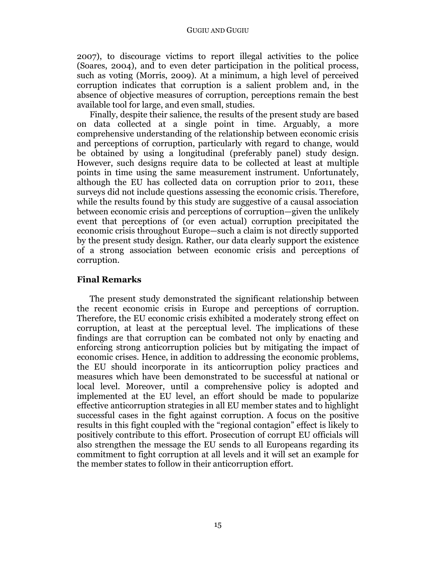2007), to discourage victims to report illegal activities to the police (Soares, 2004), and to even deter participation in the political process, such as voting (Morris, 2009). At a minimum, a high level of perceived corruption indicates that corruption is a salient problem and, in the absence of objective measures of corruption, perceptions remain the best available tool for large, and even small, studies.

Finally, despite their salience, the results of the present study are based on data collected at a single point in time. Arguably, a more comprehensive understanding of the relationship between economic crisis and perceptions of corruption, particularly with regard to change, would be obtained by using a longitudinal (preferably panel) study design. However, such designs require data to be collected at least at multiple points in time using the same measurement instrument. Unfortunately, although the EU has collected data on corruption prior to 2011, these surveys did not include questions assessing the economic crisis. Therefore, while the results found by this study are suggestive of a causal association between economic crisis and perceptions of corruption—given the unlikely event that perceptions of (or even actual) corruption precipitated the economic crisis throughout Europe—such a claim is not directly supported by the present study design. Rather, our data clearly support the existence of a strong association between economic crisis and perceptions of corruption.

## **Final Remarks**

The present study demonstrated the significant relationship between the recent economic crisis in Europe and perceptions of corruption. Therefore, the EU economic crisis exhibited a moderately strong effect on corruption, at least at the perceptual level. The implications of these findings are that corruption can be combated not only by enacting and enforcing strong anticorruption policies but by mitigating the impact of economic crises. Hence, in addition to addressing the economic problems, the EU should incorporate in its anticorruption policy practices and measures which have been demonstrated to be successful at national or local level. Moreover, until a comprehensive policy is adopted and implemented at the EU level, an effort should be made to popularize effective anticorruption strategies in all EU member states and to highlight successful cases in the fight against corruption. A focus on the positive results in this fight coupled with the "regional contagion" effect is likely to positively contribute to this effort. Prosecution of corrupt EU officials will also strengthen the message the EU sends to all Europeans regarding its commitment to fight corruption at all levels and it will set an example for the member states to follow in their anticorruption effort.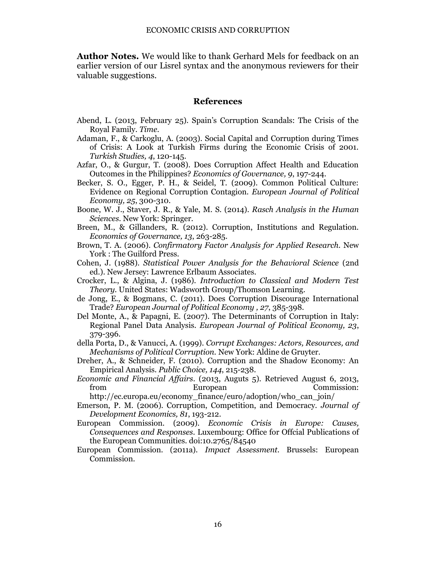**Author Notes.** We would like to thank Gerhard Mels for feedback on an earlier version of our Lisrel syntax and the anonymous reviewers for their valuable suggestions.

#### **References**

- Abend, L. (2013, February 25). Spain's Corruption Scandals: The Crisis of the Royal Family. *Time*.
- Adaman, F., & Carkoglu, A. (2003). Social Capital and Corruption during Times of Crisis: A Look at Turkish Firms during the Economic Crisis of 2001. *Turkish Studies, 4*, 120-145.
- Azfar, O., & Gurgur, T. (2008). Does Corruption Affect Health and Education Outcomes in the Philippines? *Economics of Governance, 9*, 197-244.
- Becker, S. O., Egger, P. H., & Seidel, T. (2009). Common Political Culture: Evidence on Regional Corruption Contagion. *European Journal of Political Economy, 25*, 300-310.
- Boone, W. J., Staver, J. R., & Yale, M. S. (2014). *Rasch Analysis in the Human Sciences.* New York: Springer.
- Breen, M., & Gillanders, R. (2012). Corruption, Institutions and Regulation. *Economics of Governance, 13*, 263-285.
- Brown, T. A. (2006). *Confirmatory Factor Analysis for Applied Research.* New York : The Guilford Press.
- Cohen, J. (1988). *Statistical Power Analysis for the Behavioral Science* (2nd ed.). New Jersey: Lawrence Erlbaum Associates.
- Crocker, L., & Algina, J. (1986). *Introduction to Classical and Modern Test Theory.* United States: Wadsworth Group/Thomson Learning.
- de Jong, E., & Bogmans, C. (2011). Does Corruption Discourage International Trade? *European Journal of Political Economy , 27*, 385-398.
- Del Monte, A., & Papagni, E. (2007). The Determinants of Corruption in Italy: Regional Panel Data Analysis. *European Journal of Political Economy, 23*, 379-396.
- della Porta, D., & Vanucci, A. (1999). *Corrupt Exchanges: Actors, Resources, and Mechanisms of Political Corruption.* New York: Aldine de Gruyter.
- Dreher, A., & Schneider, F. (2010). Corruption and the Shadow Economy: An Empirical Analysis. *Public Choice, 144*, 215-238.
- *Economic and Financial Affairs*. (2013, Auguts 5). Retrieved August 6, 2013, from European Commission:

http://ec.europa.eu/economy\_finance/euro/adoption/who\_can\_join/

- Emerson, P. M. (2006). Corruption, Competition, and Democracy. *Journal of Development Economics, 81*, 193-212.
- European Commission. (2009). *Economic Crisis in Europe: Causes, Consequences and Responses.* Luxembourg: Office for Offcial Publications of the European Communities. doi:10.2765/84540
- European Commission. (2011a). *Impact Assessment.* Brussels: European Commission.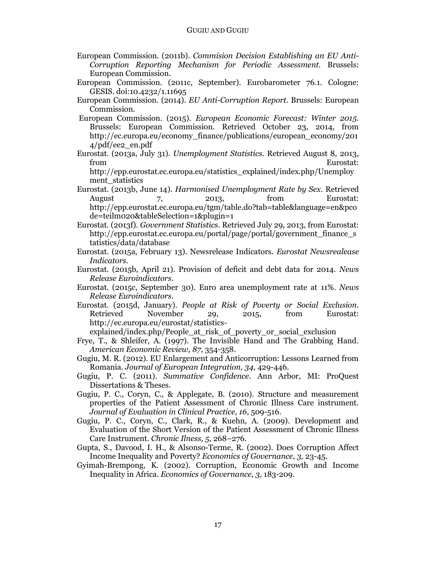- European Commission. (2011b). *Commision Decision Establishing an EU Anti-Corruption Reporting Mechanism for Periodic Assessment.* Brussels: European Commission.
- European Commission. (2011c, September). Eurobarometer 76.1. Cologne: GESIS. doi:10.4232/1.11695
- European Commission. (2014). *EU Anti-Corruption Report.* Brussels: European Commission.
- European Commission. (2015). *European Economic Forecast: Winter 2015.* Brussels: European Commission. Retrieved October 23, 2014, from http://ec.europa.eu/economy\_finance/publications/european\_economy/201 4/pdf/ee2\_en.pdf
- Eurostat. (2013a, July 31). *Unemployment Statistics.* Retrieved August 8, 2013, from Eurostat:

http://epp.eurostat.ec.europa.eu/statistics\_explained/index.php/Unemploy ment statistics

- Eurostat. (2013b, June 14). *Harmonised Unemployment Rate by Sex.* Retrieved August 7, 2013, from Eurostat: http://epp.eurostat.ec.europa.eu/tgm/table.do?tab=table&language=en&pco de=teilm020&tableSelection=1&plugin=1
- Eurostat. (2013f). *Government Statistics*. Retrieved July 29, 2013, from Eurostat: http://epp.eurostat.ec.europa.eu/portal/page/portal/government\_finance\_s tatistics/data/database
- Eurostat. (2015a, February 13). Newsrelease Indicators. *Eurostat Newsrealease Indicators*.
- Eurostat. (2015b, April 21). Provision of deficit and debt data for 2014. *News Release Euroindicators*.
- Eurostat. (2015c, September 30). Euro area unemployment rate at 11%. *News Release Euroindicators*.
- Eurostat. (2015d, January). *People at Risk of Poverty or Social Exclusion.* Retrieved November 29, 2015, from Eurostat: http://ec.europa.eu/eurostat/statistics-

explained/index.php/People\_at\_risk\_of\_poverty\_or\_social\_exclusion

- Frye, T., & Shleifer, A. (1997). The Invisible Hand and The Grabbing Hand. *American Economic Review, 87*, 354-358.
- Gugiu, M. R. (2012). EU Enlargement and Anticorruption: Lessons Learned from Romania. *Journal of European Integration, 34*, 429-446.
- Gugiu, P. C. (2011). *Summative Confidence.* Ann Arbor, MI: ProQuest Dissertations & Theses.
- Gugiu, P. C., Coryn, C., & Applegate, B. (2010). Structure and measurement properties of the Patient Assessment of Chronic Illness Care instrument. *Journal of Evaluation in Clinical Practice, 16*, 509-516.
- Gugiu, P. C., Coryn, C., Clark, R., & Kuehn, A. (2009). Development and Evaluation of the Short Version of the Patient Assessment of Chronic Illness Care Instrument. *Chronic Ilness, 5*, 268–276.
- Gupta, S., Davood, I. H., & Alsonso-Terme, R. (2002). Does Corruption Affect Income Inequality and Poverty? *Economics of Governance, 3*, 23-45.
- Gyimah-Brempong, K. (2002). Corruption, Economic Growth and Income Inequality in Africa. *Economics of Governance, 3*, 183-209.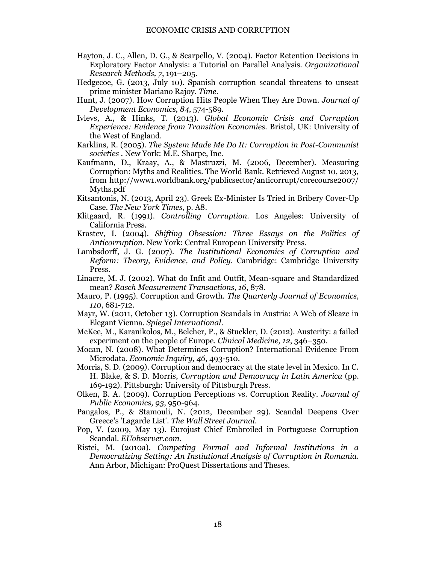- Hayton, J. C., Allen, D. G., & Scarpello, V. (2004). Factor Retention Decisions in Exploratory Factor Analysis: a Tutorial on Parallel Analysis. *Organizational Research Methods, 7*, 191–205.
- Hedgecoe, G. (2013, July 10). Spanish corruption scandal threatens to unseat prime minister Mariano Rajoy. *Time*.
- Hunt, J. (2007). How Corruption Hits People When They Are Down. *Journal of Development Economics, 84*, 574-589.
- Ivlevs, A., & Hinks, T. (2013). *Global Economic Crisis and Corruption Experience: Evidence from Transition Economies.* Bristol, UK: University of the West of England.
- Karklins, R. (2005). *The System Made Me Do It: Corruption in Post-Communist societies .* New York: M.E. Sharpe, Inc.
- Kaufmann, D., Kraay, A., & Mastruzzi, M. (2006, December). Measuring Corruption: Myths and Realities. The World Bank. Retrieved August 10, 2013, from http://www1.worldbank.org/publicsector/anticorrupt/corecourse2007/ Myths.pdf
- Kitsantonis, N. (2013, April 23). Greek Ex-Minister Is Tried in Bribery Cover-Up Case. *The New York Times*, p. A8.
- Klitgaard, R. (1991). *Controlling Corruption.* Los Angeles: University of California Press.
- Krastev, I. (2004). *Shifting Obsession: Three Essays on the Politics of Anticorruption.* New York: Central European University Press.
- Lambsdorff, J. G. (2007). *The Institutional Economics of Corruption and Reform: Theory, Evidence, and Policy.* Cambridge: Cambridge University Press.
- Linacre, M. J. (2002). What do Infit and Outfit, Mean-square and Standardized mean? *Rasch Measurement Transactions, 16*, 878.
- Mauro, P. (1995). Corruption and Growth. *The Quarterly Journal of Economics, 110*, 681-712.
- Mayr, W. (2011, October 13). Corruption Scandals in Austria: A Web of Sleaze in Elegant Vienna. *Spiegel International*.
- McKee, M., Karanikolos, M., Belcher, P., & Stuckler, D. (2012). Austerity: a failed experiment on the people of Europe. *Clinical Medicine, 12*, 346–350.
- Mocan, N. (2008). What Determines Corruption? International Evidence From Microdata. *Economic Inquiry, 46*, 493-510.
- Morris, S. D. (2009). Corruption and democracy at the state level in Mexico. In C. H. Blake, & S. D. Morris, *Corruption and Democracy in Latin America* (pp. 169-192). Pittsburgh: University of Pittsburgh Press.
- Olken, B. A. (2009). Corruption Perceptions vs. Corruption Reality. *Journal of Public Economics, 93*, 950-964.
- Pangalos, P., & Stamouli, N. (2012, December 29). Scandal Deepens Over Greece's 'Lagarde List'. *The Wall Street Journal*.
- Pop, V. (2009, May 13). Eurojust Chief Embroiled in Portuguese Corruption Scandal. *EUobserver.com*.
- Ristei, M. (2010a). *Competing Formal and Informal Institutions in a Democratizing Setting: An Instiutional Analysis of Corruption in Romania.* Ann Arbor, Michigan: ProQuest Dissertations and Theses.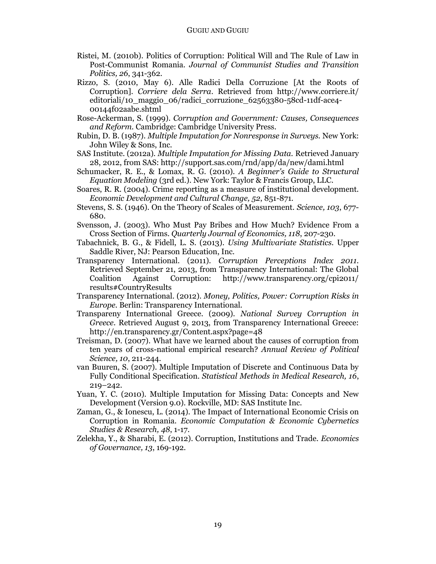- Ristei, M. (2010b). Politics of Corruption: Political Will and The Rule of Law in Post-Communist Romania. *Journal of Communist Studies and Transition Politics, 26*, 341-362.
- Rizzo, S. (2010, May 6). Alle Radici Della Corruzione [At the Roots of Corruption]. *Corriere dela Serra*. Retrieved from http://www.corriere.it/ editoriali/10\_maggio\_06/radici\_corruzione\_62563380-58cd-11df-ace4- 00144f02aabe.shtml
- Rose-Ackerman, S. (1999). *Corruption and Government: Causes, Consequences and Reform.* Cambridge: Cambridge University Press.
- Rubin, D. B. (1987). *Multiple Imputation for Nonresponse in Surveys.* New York: John Wiley & Sons, Inc.
- SAS Institute. (2012a). *Multiple Imputation for Missing Data.* Retrieved January 28, 2012, from SAS: http://support.sas.com/rnd/app/da/new/dami.html
- Schumacker, R. E., & Lomax, R. G. (2010). *A Beginner's Guide to Structural Equation Modeling* (3rd ed.). New York: Taylor & Francis Group, LLC.
- Soares, R. R. (2004). Crime reporting as a measure of institutional development. *Economic Development and Cultural Change, 52*, 851-871.
- Stevens, S. S. (1946). On the Theory of Scales of Measurement. *Science, 103*, 677- 680.
- Svensson, J. (2003). Who Must Pay Bribes and How Much? Evidence From a Cross Section of Firms. *Quarterly Journal of Economics, 118*, 207-230.
- Tabachnick, B. G., & Fidell, L. S. (2013). *Using Multivariate Statistics.* Upper Saddle River, NJ: Pearson Education, Inc.
- Transparency International. (2011). *Corruption Perceptions Index 2011.* Retrieved September 21, 2013, from Transparency International: The Global Coalition Against Corruption: http://www.transparency.org/cpi2011/ results#CountryResults
- Transparency International. (2012). *Money, Politics, Power: Corruption Risks in Europe.* Berlin: Transparency International.
- Transpareny International Greece. (2009). *National Survey Corruption in Greece.* Retrieved August 9, 2013, from Transparency International Greece: http://en.transparency.gr/Content.aspx?page=48
- Treisman, D. (2007). What have we learned about the causes of corruption from ten years of cross-national empirical research? *Annual Review of Political Science, 10*, 211-244.
- van Buuren, S. (2007). Multiple Imputation of Discrete and Continuous Data by Fully Conditional Specification. *Statistical Methods in Medical Research, 16*, 219–242.
- Yuan, Y. C. (2010). Multiple Imputation for Missing Data: Concepts and New Development (Version 9.0). Rockville, MD: SAS Institute Inc.
- Zaman, G., & Ionescu, L. (2014). The Impact of International Economic Crisis on Corruption in Romania. *Economic Computation & Economic Cybernetics Studies & Research, 48*, 1-17.
- Zelekha, Y., & Sharabi, E. (2012). Corruption, Institutions and Trade. *Economics of Governance, 13*, 169-192.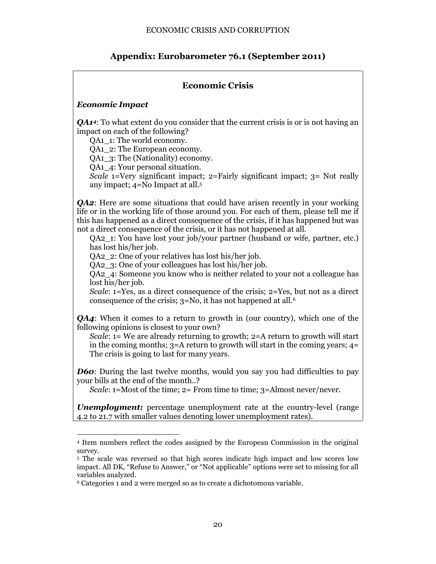# **Appendix: Eurobarometer 76.1 (September 2011)**

# **Economic Crisis**

## *Economic Impact*

*QA1<sup>4</sup>*: To what extent do you consider that the current crisis is or is not having an impact on each of the following?

QA1\_1: The world economy.

QA1\_2: The European economy.

QA1\_3: The (Nationality) economy.

QA1\_4: Your personal situation.

*Scale* 1=Very significant impact; 2=Fairly significant impact; 3= Not really any impact; 4=No Impact at all.<sup>5</sup>

*QA2*: Here are some situations that could have arisen recently in your working life or in the working life of those around you. For each of them, please tell me if this has happened as a direct consequence of the crisis, if it has happened but was not a direct consequence of the crisis, or it has not happened at all.

QA2\_1: You have lost your job/your partner (husband or wife, partner, etc.) has lost his/her job.

QA2\_2: One of your relatives has lost his/her job.

QA2\_3: One of your colleagues has lost his/her job.

QA2 4: Someone you know who is neither related to your not a colleague has lost his/her job.

*Scale*: 1=Yes, as a direct consequence of the crisis; 2=Yes, but not as a direct consequence of the crisis; 3=No, it has not happened at all.<sup>6</sup>

*QA4*: When it comes to a return to growth in (our country), which one of the following opinions is closest to your own?

*Scale*: 1= We are already returning to growth; 2=A return to growth will start in the coming months;  $3=$  A return to growth will start in the coming years;  $4=$ The crisis is going to last for many years.

*D60*: During the last twelve months, would you say you had difficulties to pay your bills at the end of the month..?

*Scale*: 1=Most of the time; 2= From time to time; 3=Almost never/never.

*Unemployment:* percentage unemployment rate at the country-level (range 4.2 to 21.7 with smaller values denoting lower unemployment rates).

 $\overline{a}$ <sup>4</sup> Item numbers reflect the codes assigned by the European Commission in the original survey.

<sup>5</sup> The scale was reversed so that high scores indicate high impact and low scores low impact. All DK, "Refuse to Answer," or "Not applicable" options were set to missing for all variables analyzed.

<sup>6</sup> Categories 1 and 2 were merged so as to create a dichotomous variable.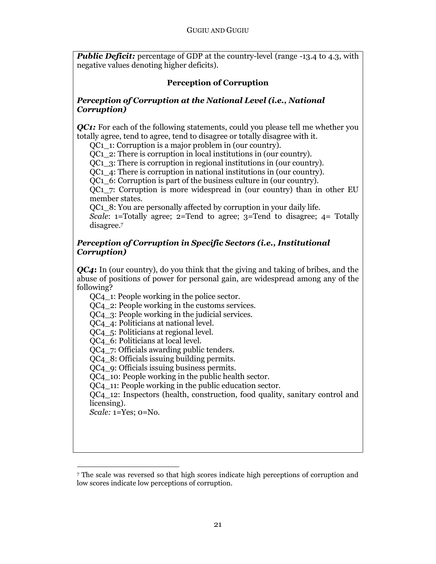**Public Deficit:** percentage of GDP at the country-level (range -13.4 to 4.3, with negative values denoting higher deficits).

# **Perception of Corruption**

## *Perception of Corruption at the National Level (i.e., National Corruption)*

*QC1:* For each of the following statements, could you please tell me whether you totally agree, tend to agree, tend to disagree or totally disagree with it.

QC1\_1: Corruption is a major problem in (our country).

QC1\_2: There is corruption in local institutions in (our country).

QC1\_3: There is corruption in regional institutions in (our country).

QC1\_4: There is corruption in national institutions in (our country).

QC1\_6: Corruption is part of the business culture in (our country).

 $OCl<sub>1</sub>$  7: Corruption is more widespread in (our country) than in other EU member states.

QC1\_8: You are personally affected by corruption in your daily life.

*Scale*: 1=Totally agree; 2=Tend to agree; 3=Tend to disagree; 4= Totally disagree.<sup>7</sup>

## *Perception of Corruption in Specific Sectors (i.e., Institutional Corruption)*

*QC4***:** In (our country), do you think that the giving and taking of bribes, and the abuse of positions of power for personal gain, are widespread among any of the following?

QC4 1: People working in the police sector.

QC4\_2: People working in the customs services.

QC4\_3: People working in the judicial services.

QC4\_4: Politicians at national level.

QC4  $\,$  5: Politicians at regional level.

QC4\_6: Politicians at local level.

QC4 7: Officials awarding public tenders.

QC4\_8: Officials issuing building permits.

QC4\_9: Officials issuing business permits.

QC4\_10: People working in the public health sector.

QC4\_11: People working in the public education sector.

QC4\_12: Inspectors (health, construction, food quality, sanitary control and licensing).

*Scale:* 1=Yes; 0=No.

 $\overline{a}$ 

<sup>7</sup> The scale was reversed so that high scores indicate high perceptions of corruption and low scores indicate low perceptions of corruption.